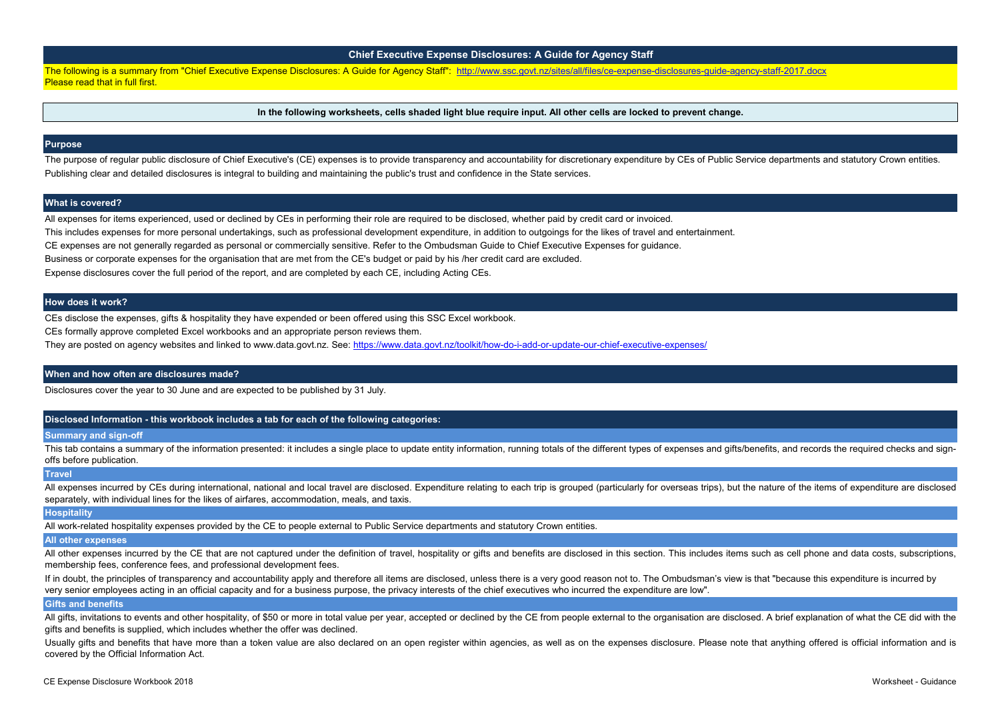# **Chief Executive Expense Disclosures: A Guide for Agency Staff**

[The following is a summary from "Chief Executive Expense Disclosures: A Guide for Agency Staff": http://www.ssc.govt.nz/sites/all/files/ce-expense-disclosures-guide-agency-staff-2017.docx](http://www.ssc.govt.nz/sites/all/files/ce-expense-disclosures-guide-agency-staff-2017.docx) [Please read that in full first.](http://www.ssc.govt.nz/sites/all/files/ce-expense-disclosures-guide-agency-staff-2017.docx)

**In the following worksheets, cells shaded light blue require input. All other cells are locked to prevent change.**

The purpose of regular public disclosure of Chief Executive's (CE) expenses is to provide transparency and accountability for discretionary expenditure by CEs of Public Service departments and statutory Crown entities. Publishing clear and detailed disclosures is integral to building and maintaining the public's trust and confidence in the State services.

#### **Purpose**

#### **What is covered?**

All expenses for items experienced, used or declined by CEs in performing their role are required to be disclosed, whether paid by credit card or invoiced. This includes expenses for more personal undertakings, such as professional development expenditure, in addition to outgoings for the likes of travel and entertainment. CE expenses are not generally regarded as personal or commercially sensitive. Refer to the Ombudsman Guide to Chief Executive Expenses for guidance. Business or corporate expenses for the organisation that are met from the CE's budget or paid by his /her credit card are excluded. Expense disclosures cover the full period of the report, and are completed by each CE, including Acting CEs.

This tab contains a summary of the information presented: it includes a single place to update entity information, running totals of the different types of expenses and gifts/benefits, and records the required checks and s offs before publication.

#### **How does it work?**

All other expenses incurred by the CE that are not captured under the definition of travel, hospitality or gifts and benefits are disclosed in this section. This includes items such as cell phone and data costs, subscripti membership fees, conference fees, and professional development fees.

CEs disclose the expenses, gifts & hospitality they have expended or been offered using this SSC Excel workbook.

CEs formally approve completed Excel workbooks and an appropriate person reviews them.

If in doubt, the principles of transparency and accountability apply and therefore all items are disclosed, unless there is a very good reason not to. The Ombudsman's view is that "because this expenditure is incurred by very senior employees acting in an official capacity and for a business purpose, the privacy interests of the chief executives who incurred the expenditure are low".

[They are posted on agency websites and linked to www.data.govt.nz. See: https://www.data.govt.nz/toolkit/how-do-i-add-or-update-our-chief-executive-expenses/](https://www.data.govt.nz/toolkit/how-do-i-add-or-update-our-chief-executive-expenses/)

#### **When and how often are disclosures made?**

All gifts, invitations to events and other hospitality, of \$50 or more in total value per year, accepted or declined by the CE from people external to the organisation are disclosed. A brief explanation of what the CE did gifts and benefits is supplied, which includes whether the offer was declined.

Disclosures cover the year to 30 June and are expected to be published by 31 July.

#### **Disclosed Information - this workbook includes a tab for each of the following categories:**

#### **Summary and sign-off**

#### **Travel**

All expenses incurred by CEs during international, national and local travel are disclosed. Expenditure relating to each trip is grouped (particularly for overseas trips), but the nature of the items of expenditure are dis separately, with individual lines for the likes of airfares, accommodation, meals, and taxis.

#### **Hospitality**

All work-related hospitality expenses provided by the CE to people external to Public Service departments and statutory Crown entities.

#### **All other expenses**

#### **Gifts and benefits**

Usually gifts and benefits that have more than a token value are also declared on an open register within agencies, as well as on the expenses disclosure. Please note that anything offered is official information and is covered by the Official Information Act.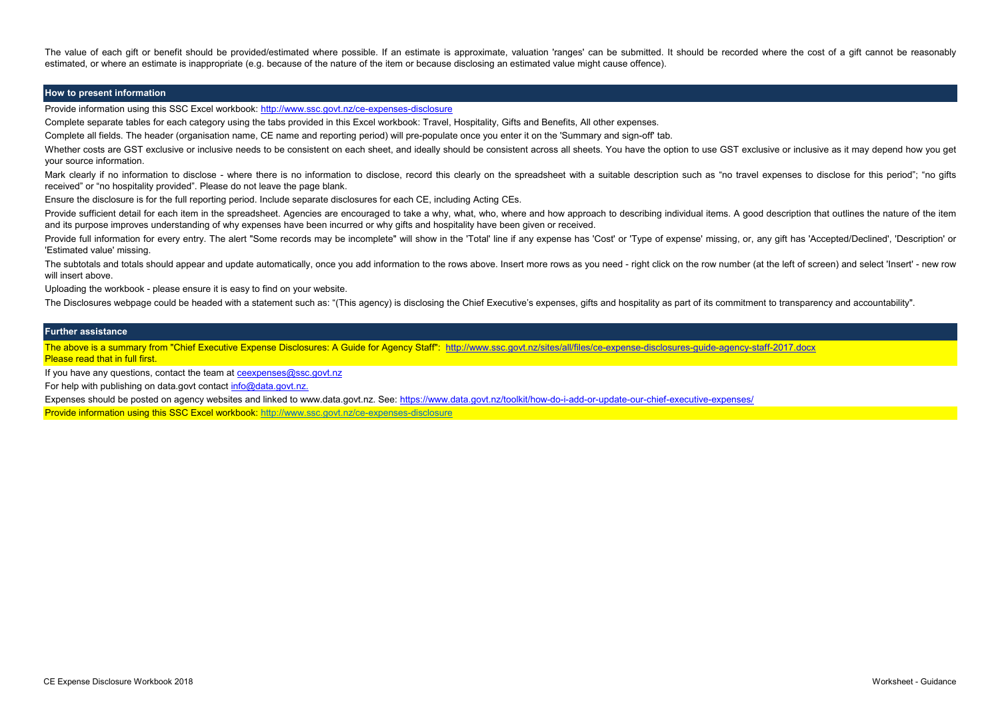The value of each gift or benefit should be provided/estimated where possible. If an estimate is approximate, valuation 'ranges' can be submitted. It should be recorded where the cost of a gift cannot be reasonably estimated, or where an estimate is inappropriate (e.g. because of the nature of the item or because disclosing an estimated value might cause offence).

## **How to present information**

[Provide information using this SSC Excel workbook: http://www.ssc.govt.nz/ce-expenses-disclosure](http://www.ssc.govt.nz/ce-expenses-disclosure)

Complete separate tables for each category using the tabs provided in this Excel workbook: Travel, Hospitality, Gifts and Benefits, All other expenses.

Complete all fields. The header (organisation name, CE name and reporting period) will pre-populate once you enter it on the 'Summary and sign-off' tab.

Whether costs are GST exclusive or inclusive needs to be consistent on each sheet, and ideally should be consistent across all sheets. You have the option to use GST exclusive or inclusive as it may depend how you get your source information. Mark clearly if no information to disclose - where there is no information to disclose, record this clearly on the spreadsheet with a suitable description such as "no travel expenses to disclose for this period"; "no gifts

Provide sufficient detail for each item in the spreadsheet. Agencies are encouraged to take a why, what, who, where and how approach to describing individual items. A good description that outlines the nature of the item and its purpose improves understanding of why expenses have been incurred or why gifts and hospitality have been given or received.

Provide full information for every entry. The alert "Some records may be incomplete" will show in the 'Total' line if any expense has 'Cost' or 'Type of expense' missing, or, any gift has 'Accepted/Declined', 'Description' 'Estimated value' missing.

The subtotals and totals should appear and update automatically, once you add information to the rows above. Insert more rows as you need - right click on the row number (at the left of screen) and select 'Insert' - new ro will insert above.

[The above is a summary from "Chief Executive Expense Disclosures: A Guide for Agency Staff": http://www.ssc.govt.nz/sites/all/files/ce-expense-disclosures-guide-agency-staff-2017.docx](http://www.ssc.govt.nz/sites/all/files/ce-expense-disclosures-guide-agency-staff-2017.docx) [Please read that in full first.](http://www.ssc.govt.nz/sites/all/files/ce-expense-disclosures-guide-agency-staff-2017.docx)

[If you have any questions, contact the team at ceexpenses@ssc.govt.nz](mailto:ceexpenses@ssc.govt.nz)

[For help with publishing on data.govt contact](mailto:info@data.govt.nz) [info@data.govt.nz.](mailto:info@data.govt.nz)

received" or "no hospitality provided". Please do not leave the page blank.

Ensure the disclosure is for the full reporting period. Include separate disclosures for each CE, including Acting CEs.

Uploading the workbook - please ensure it is easy to find on your website.

The Disclosures webpage could be headed with a statement such as: "(This agency) is disclosing the Chief Executive's expenses, gifts and hospitality as part of its commitment to transparency and accountability".

#### **Further assistance**

[Expenses should be posted on agency websites and linked to www.data.govt.nz. See: https://www.data.govt.nz/toolkit/how-do-i-add-or-update-our-chief-executive-expenses/](https://www.data.govt.nz/toolkit/how-do-i-add-or-update-our-chief-executive-expenses/) [Provide information using this SSC Excel workbook: http://www.ssc.govt.nz/ce-expenses-disclosure](http://www.ssc.govt.nz/ce-expenses-disclosure)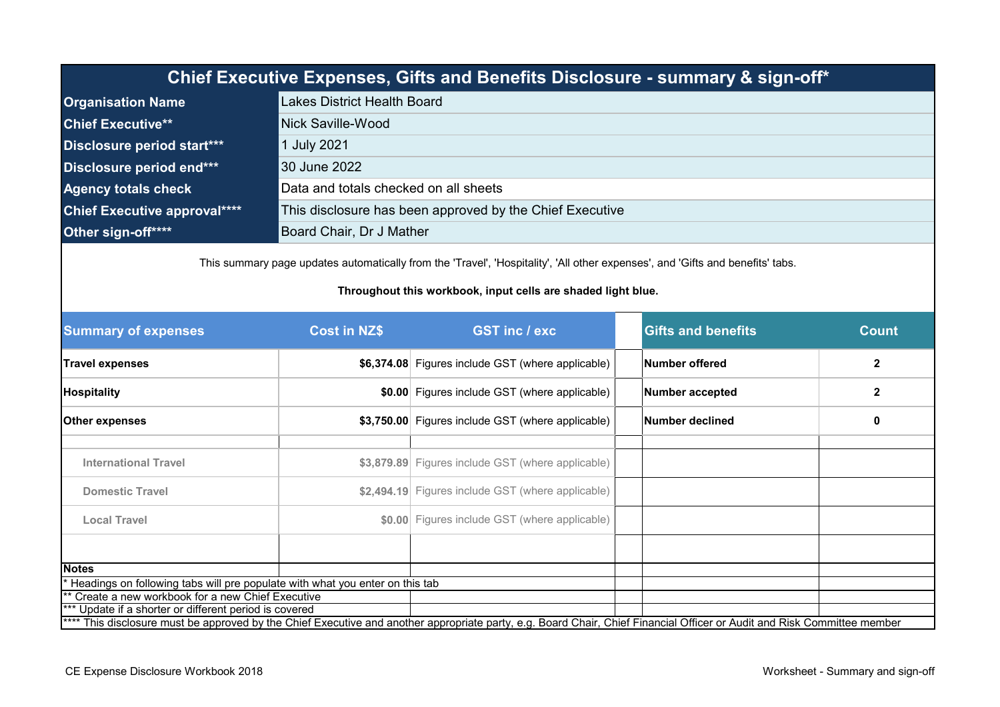| Chief Executive Expenses, Gifts and Benefits Disclosure - summary & sign-off* |                                                          |  |  |  |
|-------------------------------------------------------------------------------|----------------------------------------------------------|--|--|--|
| <b>Organisation Name</b>                                                      | <b>Lakes District Health Board</b>                       |  |  |  |
| <b>Chief Executive**</b>                                                      | Nick Saville-Wood                                        |  |  |  |
| Disclosure period start***                                                    | 1 July 2021                                              |  |  |  |
| Disclosure period end***                                                      | 30 June 2022                                             |  |  |  |
| <b>Agency totals check</b>                                                    | Data and totals checked on all sheets                    |  |  |  |
| <b>Chief Executive approval****</b>                                           | This disclosure has been approved by the Chief Executive |  |  |  |
| Other sign-off****                                                            | Board Chair, Dr J Mather                                 |  |  |  |

This summary page updates automatically from the 'Travel', 'Hospitality', 'All other expenses', and 'Gifts and benefits' tabs.

## **Throughout this workbook, input cells are shaded light blue.**

| <b>Summary of expenses</b>                                                                                                                                               | <b>Cost in NZ\$</b>                               | <b>GST inc / exc</b>                              |                 | <b>Gifts and benefits</b> | <b>Count</b>   |  |  |
|--------------------------------------------------------------------------------------------------------------------------------------------------------------------------|---------------------------------------------------|---------------------------------------------------|-----------------|---------------------------|----------------|--|--|
| <b>Travel expenses</b>                                                                                                                                                   |                                                   | \$6,374.08 Figures include GST (where applicable) |                 | Number offered            | $\overline{2}$ |  |  |
| <b>Hospitality</b>                                                                                                                                                       |                                                   | \$0.00 Figures include GST (where applicable)     |                 | <b>Number accepted</b>    | $\mathbf{2}$   |  |  |
| <b>Other expenses</b>                                                                                                                                                    | \$3,750.00 Figures include GST (where applicable) |                                                   | Number declined |                           | 0              |  |  |
|                                                                                                                                                                          |                                                   |                                                   |                 |                           |                |  |  |
| <b>International Travel</b>                                                                                                                                              |                                                   | \$3,879.89 Figures include GST (where applicable) |                 |                           |                |  |  |
| <b>Domestic Travel</b>                                                                                                                                                   |                                                   | \$2,494.19 Figures include GST (where applicable) |                 |                           |                |  |  |
| <b>Local Travel</b>                                                                                                                                                      |                                                   | \$0.00 Figures include GST (where applicable)     |                 |                           |                |  |  |
|                                                                                                                                                                          |                                                   |                                                   |                 |                           |                |  |  |
| <b>Notes</b>                                                                                                                                                             |                                                   |                                                   |                 |                           |                |  |  |
| Headings on following tabs will pre populate with what you enter on this tab                                                                                             |                                                   |                                                   |                 |                           |                |  |  |
| ** Create a new workbook for a new Chief Executive                                                                                                                       |                                                   |                                                   |                 |                           |                |  |  |
| *** Update if a shorter or different period is covered                                                                                                                   |                                                   |                                                   |                 |                           |                |  |  |
| **** This disclosure must be approved by the Chief Executive and another appropriate party, e.g. Board Chair, Chief Financial Officer or Audit and Risk Committee member |                                                   |                                                   |                 |                           |                |  |  |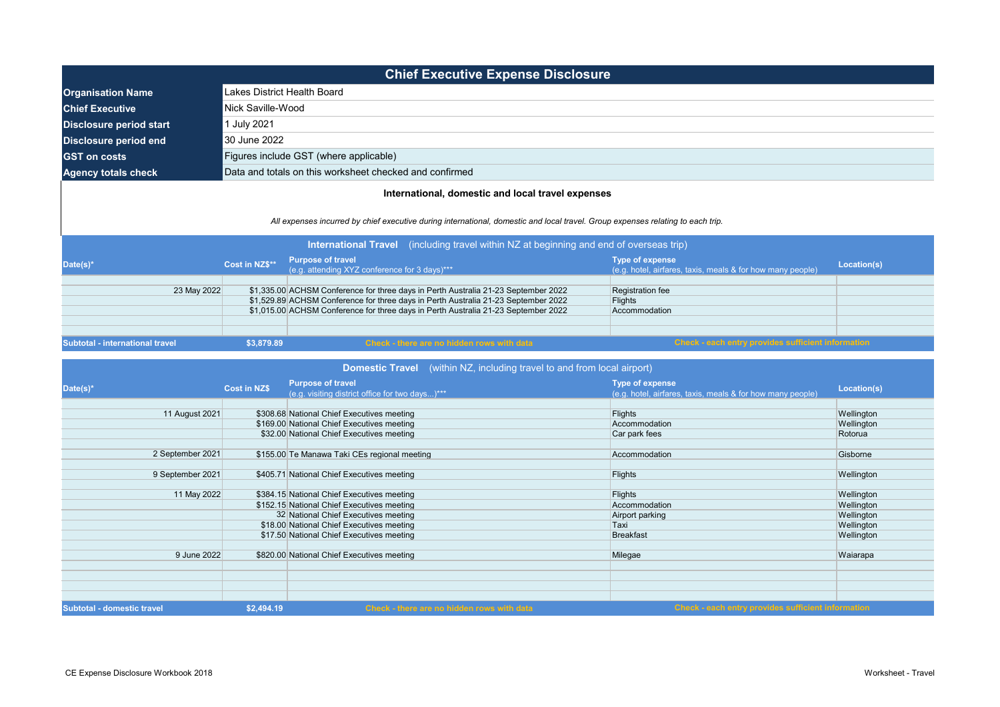|                                                                                                                                                                                                                                      |                             | <b>Chief Executive Expense Disclosure</b>                                                                                                                                |                                                                                      |             |  |  |
|--------------------------------------------------------------------------------------------------------------------------------------------------------------------------------------------------------------------------------------|-----------------------------|--------------------------------------------------------------------------------------------------------------------------------------------------------------------------|--------------------------------------------------------------------------------------|-------------|--|--|
| <b>Organisation Name</b>                                                                                                                                                                                                             | Lakes District Health Board |                                                                                                                                                                          |                                                                                      |             |  |  |
| <b>Chief Executive</b>                                                                                                                                                                                                               |                             | Nick Saville-Wood                                                                                                                                                        |                                                                                      |             |  |  |
| <b>Disclosure period start</b>                                                                                                                                                                                                       | 1 July 2021                 |                                                                                                                                                                          |                                                                                      |             |  |  |
| <b>Disclosure period end</b>                                                                                                                                                                                                         | 30 June 2022                |                                                                                                                                                                          |                                                                                      |             |  |  |
| <b>GST</b> on costs                                                                                                                                                                                                                  |                             | Figures include GST (where applicable)                                                                                                                                   |                                                                                      |             |  |  |
| <b>Agency totals check</b>                                                                                                                                                                                                           |                             | Data and totals on this worksheet checked and confirmed                                                                                                                  |                                                                                      |             |  |  |
| All expenses incurred by chief executive during international, domestic and local travel. Group expenses relating to each trip.<br>(including travel within NZ at beginning and end of overseas trip)<br><b>International Travel</b> |                             |                                                                                                                                                                          |                                                                                      |             |  |  |
| Date(s)*                                                                                                                                                                                                                             | Cost in NZ\$**              | <b>Purpose of travel</b><br>(e.g. attending XYZ conference for 3 days)***                                                                                                | <b>Type of expense</b><br>(e.g. hotel, airfares, taxis, meals & for how many people) | Location(s) |  |  |
| 23 May 2022                                                                                                                                                                                                                          |                             | \$1,335.00 ACHSM Conference for three days in Perth Australia 21-23 September 2022<br>\$1,529.89 ACHSM Conference for three days in Perth Australia 21-23 September 2022 | Registration fee<br>Flights                                                          |             |  |  |
|                                                                                                                                                                                                                                      |                             | \$1,015.00 ACHSM Conference for three days in Perth Australia 21-23 September 2022                                                                                       | Accommodation                                                                        |             |  |  |
| <b>Subtotal - international travel</b>                                                                                                                                                                                               | \$3,879.89                  | <b>Check - there are no hidden rows with data</b>                                                                                                                        | <b>Check - each entry provides sufficient information</b>                            |             |  |  |

| Date(s)*                          | <b>Cost in NZ\$</b> | <b>Purpose of travel</b>                        |                                                                               |             |
|-----------------------------------|---------------------|-------------------------------------------------|-------------------------------------------------------------------------------|-------------|
|                                   |                     | (e.g. visiting district office for two days)*** | Type of expense<br>(e.g. hotel, airfares, taxis, meals & for how many people) | Location(s) |
|                                   |                     |                                                 |                                                                               |             |
| 11 August 2021                    |                     | \$308.68 National Chief Executives meeting      | <b>Flights</b>                                                                | Wellington  |
|                                   |                     | \$169.00 National Chief Executives meeting      | Accommodation                                                                 | Wellington  |
|                                   |                     | \$32.00 National Chief Executives meeting       | Car park fees                                                                 | Rotorua     |
| 2 September 2021                  |                     | \$155.00 Te Manawa Taki CEs regional meeting    | Accommodation                                                                 | Gisborne    |
| 9 September 2021                  |                     | \$405.71 National Chief Executives meeting      | <b>Flights</b>                                                                | Wellington  |
| 11 May 2022                       |                     | \$384.15 National Chief Executives meeting      | <b>Flights</b>                                                                | Wellington  |
|                                   |                     | \$152.15 National Chief Executives meeting      | Accommodation                                                                 | Wellington  |
|                                   |                     | 32 National Chief Executives meeting            | Airport parking                                                               | Wellington  |
|                                   |                     | \$18.00 National Chief Executives meeting       | Taxi                                                                          | Wellington  |
|                                   |                     | \$17.50 National Chief Executives meeting       | <b>Breakfast</b>                                                              | Wellington  |
| 9 June 2022                       |                     | \$820.00 National Chief Executives meeting      | Milegae                                                                       | Waiarapa    |
| <b>Subtotal - domestic travel</b> | \$2,494.19          | Check - there are no hidden rows with data      | Check - each entry provides sufficient information                            |             |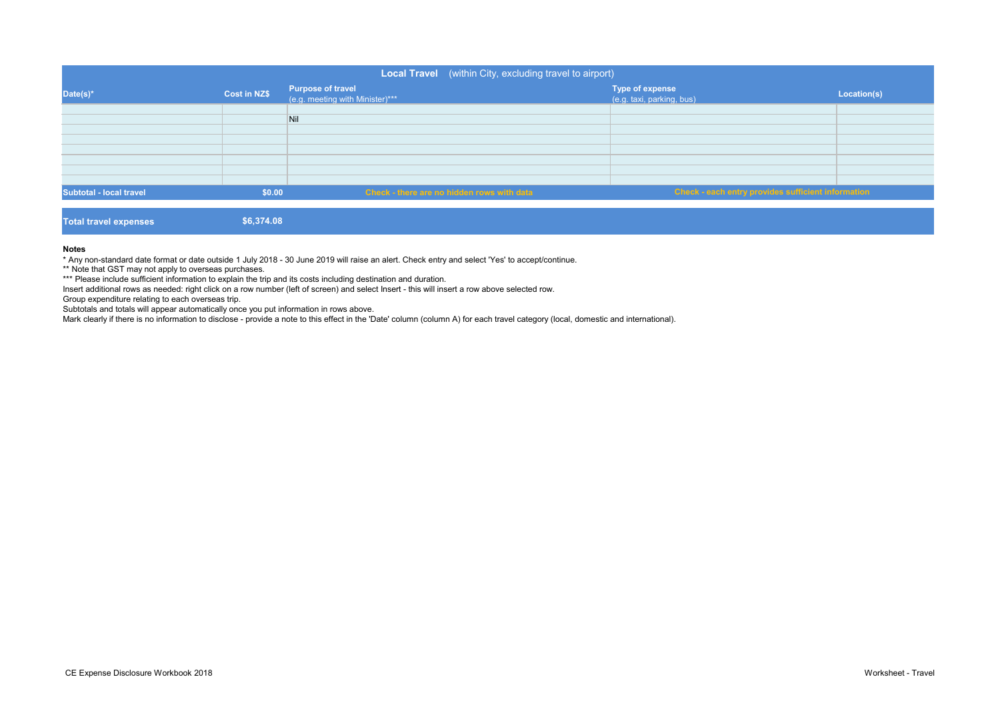|                                |              | Local Travel (within City, excluding travel to airport)     |                                                     |             |
|--------------------------------|--------------|-------------------------------------------------------------|-----------------------------------------------------|-------------|
| Date(s)*                       | Cost in NZ\$ | <b>Purpose of travel</b><br>(e.g. meeting with Minister)*** | <b>Type of expense</b><br>(e.g. taxi, parking, bus) | Location(s) |
|                                |              | Nil                                                         |                                                     |             |
|                                |              |                                                             |                                                     |             |
|                                |              |                                                             |                                                     |             |
|                                |              |                                                             |                                                     |             |
| <b>Subtotal - local travel</b> | \$0.00       | <b>Check - there are no hidden rows with data</b>           | Check - each entry provides sufficient information  |             |
| <b>Total travel expenses</b>   | \$6,374.08   |                                                             |                                                     |             |

#### **Notes**

\* Any non-standard date format or date outside 1 July 2018 - 30 June 2019 will raise an alert. Check entry and select 'Yes' to accept/continue.

\*\* Note that GST may not apply to overseas purchases.

\*\*\* Please include sufficient information to explain the trip and its costs including destination and duration.

Insert additional rows as needed: right click on a row number (left of screen) and select Insert - this will insert a row above selected row.

Group expenditure relating to each overseas trip.

Subtotals and totals will appear automatically once you put information in rows above.

Mark clearly if there is no information to disclose - provide a note to this effect in the 'Date' column (column A) for each travel category (local, domestic and international).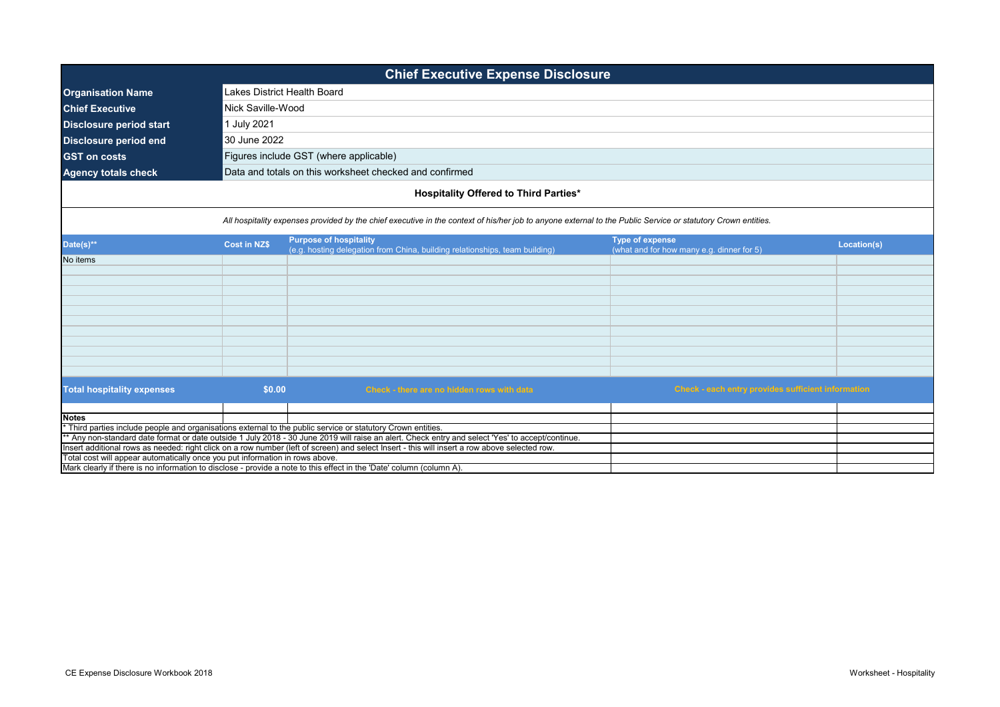| <b>Chief Executive Expense Disclosure</b>                                                                            |                                                                                                                                                              |                                                                                                                                                  |                                                                     |             |  |  |
|----------------------------------------------------------------------------------------------------------------------|--------------------------------------------------------------------------------------------------------------------------------------------------------------|--------------------------------------------------------------------------------------------------------------------------------------------------|---------------------------------------------------------------------|-------------|--|--|
| <b>Organisation Name</b>                                                                                             |                                                                                                                                                              | Lakes District Health Board                                                                                                                      |                                                                     |             |  |  |
| <b>Chief Executive</b>                                                                                               | Nick Saville-Wood                                                                                                                                            |                                                                                                                                                  |                                                                     |             |  |  |
| <b>Disclosure period start</b>                                                                                       | 1 July 2021                                                                                                                                                  |                                                                                                                                                  |                                                                     |             |  |  |
| <b>Disclosure period end</b>                                                                                         | 30 June 2022                                                                                                                                                 |                                                                                                                                                  |                                                                     |             |  |  |
|                                                                                                                      |                                                                                                                                                              |                                                                                                                                                  |                                                                     |             |  |  |
| <b>GST on costs</b>                                                                                                  |                                                                                                                                                              | Figures include GST (where applicable)                                                                                                           |                                                                     |             |  |  |
| <b>Agency totals check</b>                                                                                           |                                                                                                                                                              | Data and totals on this worksheet checked and confirmed                                                                                          |                                                                     |             |  |  |
|                                                                                                                      |                                                                                                                                                              | <b>Hospitality Offered to Third Parties*</b>                                                                                                     |                                                                     |             |  |  |
|                                                                                                                      | All hospitality expenses provided by the chief executive in the context of his/her job to anyone external to the Public Service or statutory Crown entities. |                                                                                                                                                  |                                                                     |             |  |  |
| Date(s)**                                                                                                            | <b>Cost in NZ\$</b>                                                                                                                                          | <b>Purpose of hospitality</b><br>(e.g. hosting delegation from China, building relationships, team building)                                     | <b>Type of expense</b><br>(what and for how many e.g. dinner for 5) | Location(s) |  |  |
| No items                                                                                                             |                                                                                                                                                              |                                                                                                                                                  |                                                                     |             |  |  |
|                                                                                                                      |                                                                                                                                                              |                                                                                                                                                  |                                                                     |             |  |  |
|                                                                                                                      |                                                                                                                                                              |                                                                                                                                                  |                                                                     |             |  |  |
|                                                                                                                      |                                                                                                                                                              |                                                                                                                                                  |                                                                     |             |  |  |
|                                                                                                                      |                                                                                                                                                              |                                                                                                                                                  |                                                                     |             |  |  |
|                                                                                                                      |                                                                                                                                                              |                                                                                                                                                  |                                                                     |             |  |  |
|                                                                                                                      |                                                                                                                                                              |                                                                                                                                                  |                                                                     |             |  |  |
|                                                                                                                      |                                                                                                                                                              |                                                                                                                                                  |                                                                     |             |  |  |
|                                                                                                                      |                                                                                                                                                              |                                                                                                                                                  |                                                                     |             |  |  |
|                                                                                                                      |                                                                                                                                                              |                                                                                                                                                  |                                                                     |             |  |  |
| <b>Total hospitality expenses</b>                                                                                    | \$0.00                                                                                                                                                       | Check - there are no hidden rows with data                                                                                                       | Check - each entry provides sufficient information                  |             |  |  |
|                                                                                                                      |                                                                                                                                                              |                                                                                                                                                  |                                                                     |             |  |  |
| <b>Notes</b>                                                                                                         |                                                                                                                                                              | Third parties include people and organisations external to the public service or statutory Crown entities.                                       |                                                                     |             |  |  |
|                                                                                                                      |                                                                                                                                                              | ** Any non-standard date format or date outside 1 July 2018 - 30 June 2019 will raise an alert. Check entry and select 'Yes' to accept/continue. |                                                                     |             |  |  |
|                                                                                                                      |                                                                                                                                                              | Insert additional rows as needed: right click on a row number (left of screen) and select Insert - this will insert a row above selected row.    |                                                                     |             |  |  |
| Total cost will appear automatically once you put information in rows above.                                         |                                                                                                                                                              |                                                                                                                                                  |                                                                     |             |  |  |
| Mark clearly if there is no information to disclose - provide a note to this effect in the 'Date' column (column A). |                                                                                                                                                              |                                                                                                                                                  |                                                                     |             |  |  |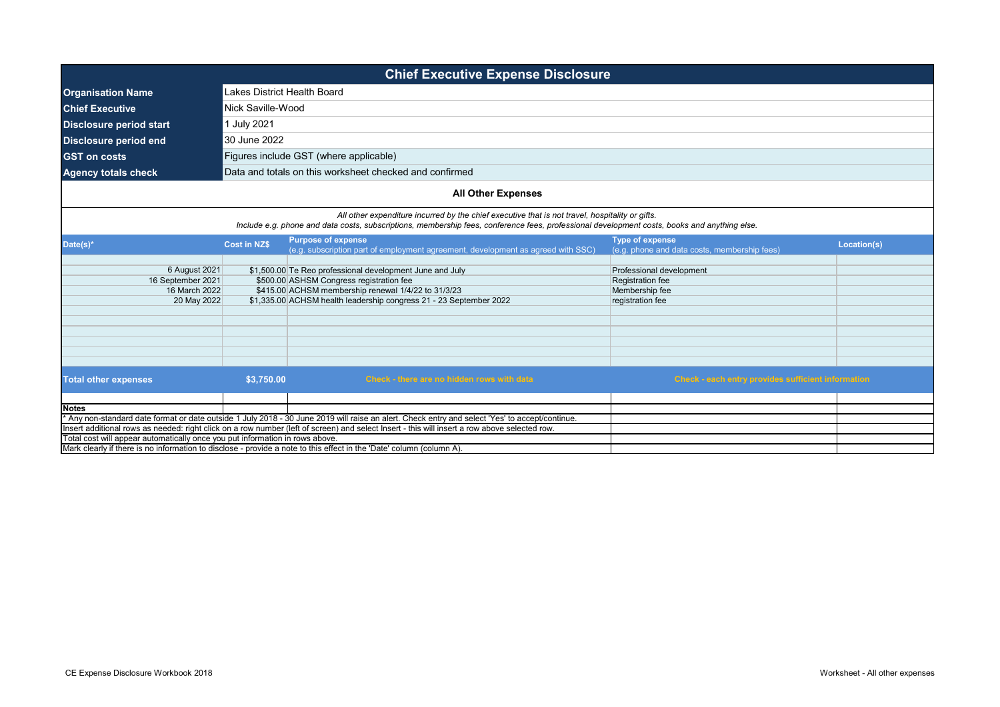| <b>Chief Executive Expense Disclosure</b>                                                                                                                                                                                     |                     |                                                                                                                                                                                                                                                 |                                                                        |             |  |  |
|-------------------------------------------------------------------------------------------------------------------------------------------------------------------------------------------------------------------------------|---------------------|-------------------------------------------------------------------------------------------------------------------------------------------------------------------------------------------------------------------------------------------------|------------------------------------------------------------------------|-------------|--|--|
| <b>Organisation Name</b>                                                                                                                                                                                                      |                     | Lakes District Health Board                                                                                                                                                                                                                     |                                                                        |             |  |  |
| <b>Chief Executive</b>                                                                                                                                                                                                        | Nick Saville-Wood   |                                                                                                                                                                                                                                                 |                                                                        |             |  |  |
| <b>Disclosure period start</b>                                                                                                                                                                                                | 1 July 2021         |                                                                                                                                                                                                                                                 |                                                                        |             |  |  |
| <b>Disclosure period end</b>                                                                                                                                                                                                  | 30 June 2022        |                                                                                                                                                                                                                                                 |                                                                        |             |  |  |
| <b>GST on costs</b>                                                                                                                                                                                                           |                     | Figures include GST (where applicable)                                                                                                                                                                                                          |                                                                        |             |  |  |
| <b>Agency totals check</b>                                                                                                                                                                                                    |                     | Data and totals on this worksheet checked and confirmed                                                                                                                                                                                         |                                                                        |             |  |  |
|                                                                                                                                                                                                                               |                     |                                                                                                                                                                                                                                                 |                                                                        |             |  |  |
|                                                                                                                                                                                                                               |                     | <b>All Other Expenses</b>                                                                                                                                                                                                                       |                                                                        |             |  |  |
|                                                                                                                                                                                                                               |                     | All other expenditure incurred by the chief executive that is not travel, hospitality or gifts.<br>Include e.g. phone and data costs, subscriptions, membership fees, conference fees, professional development costs, books and anything else. |                                                                        |             |  |  |
| Date(s)*                                                                                                                                                                                                                      | <b>Cost in NZ\$</b> | <b>Purpose of expense</b><br>(e.g. subscription part of employment agreement, development as agreed with SSC)                                                                                                                                   | <b>Type of expense</b><br>(e.g. phone and data costs, membership fees) | Location(s) |  |  |
| 6 August 2021                                                                                                                                                                                                                 |                     | \$1,500.00 Te Reo professional development June and July                                                                                                                                                                                        | Professional development                                               |             |  |  |
| 16 September 2021                                                                                                                                                                                                             |                     | \$500.00 ASHSM Congress registration fee                                                                                                                                                                                                        | Registration fee                                                       |             |  |  |
| 16 March 2022                                                                                                                                                                                                                 |                     | \$415.00 ACHSM membership renewal 1/4/22 to 31/3/23                                                                                                                                                                                             | Membership fee                                                         |             |  |  |
| 20 May 2022                                                                                                                                                                                                                   |                     | \$1,335.00 ACHSM health leadership congress 21 - 23 September 2022                                                                                                                                                                              | registration fee                                                       |             |  |  |
|                                                                                                                                                                                                                               |                     |                                                                                                                                                                                                                                                 |                                                                        |             |  |  |
|                                                                                                                                                                                                                               |                     |                                                                                                                                                                                                                                                 |                                                                        |             |  |  |
|                                                                                                                                                                                                                               |                     |                                                                                                                                                                                                                                                 |                                                                        |             |  |  |
|                                                                                                                                                                                                                               |                     |                                                                                                                                                                                                                                                 |                                                                        |             |  |  |
|                                                                                                                                                                                                                               |                     |                                                                                                                                                                                                                                                 |                                                                        |             |  |  |
| <b>Total other expenses</b>                                                                                                                                                                                                   | \$3,750.00          | Check - there are no hidden rows with data                                                                                                                                                                                                      | <b>Check - each entry provides sufficient information</b>              |             |  |  |
|                                                                                                                                                                                                                               |                     |                                                                                                                                                                                                                                                 |                                                                        |             |  |  |
| <b>Notes</b>                                                                                                                                                                                                                  |                     |                                                                                                                                                                                                                                                 |                                                                        |             |  |  |
|                                                                                                                                                                                                                               |                     | Any non-standard date format or date outside 1 July 2018 - 30 June 2019 will raise an alert. Check entry and select 'Yes' to accept/continue.                                                                                                   |                                                                        |             |  |  |
| Insert additional rows as needed: right click on a row number (left of screen) and select Insert - this will insert a row above selected row.<br>Total cost will appear automatically once you put information in rows above. |                     |                                                                                                                                                                                                                                                 |                                                                        |             |  |  |
|                                                                                                                                                                                                                               |                     | Mark clearly if there is no information to disclose - provide a note to this effect in the 'Date' column (column A).                                                                                                                            |                                                                        |             |  |  |